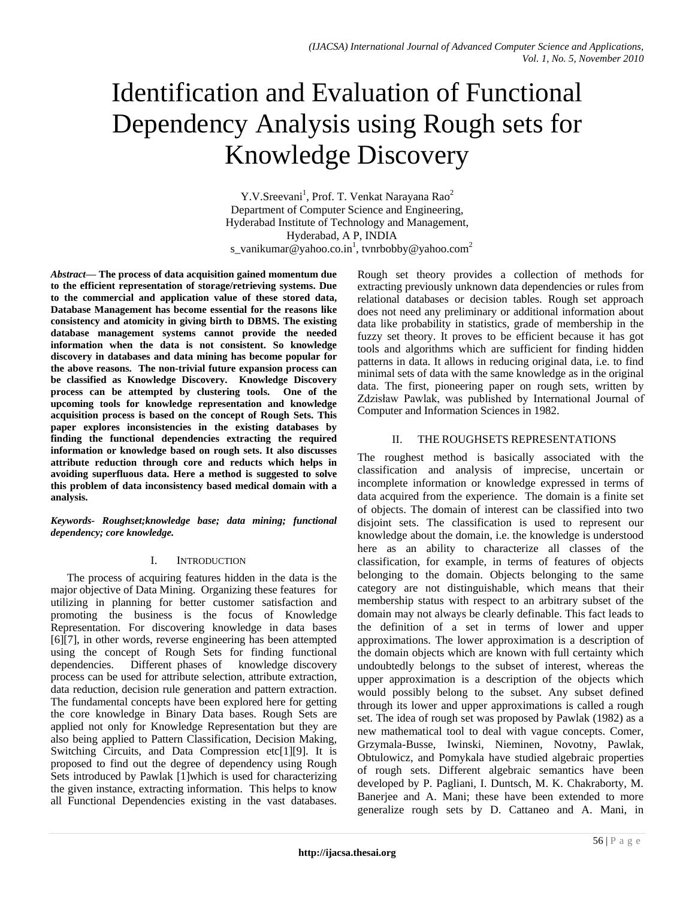# Identification and Evaluation of Functional Dependency Analysis using Rough sets for Knowledge Discovery

Y.V.Sreevani<sup>1</sup>, Prof. T. Venkat Narayana Rao<sup>2</sup> Department of Computer Science and Engineering, Hyderabad Institute of Technology and Management, Hyderabad, A P, INDIA s\_vanikumar@yahoo.co.in<sup>1</sup>, tvnrbobby@yahoo.com<sup>2</sup>

*Abstract***— The process of data acquisition gained momentum due to the efficient representation of storage/retrieving systems. Due to the commercial and application value of these stored data, Database Management has become essential for the reasons like consistency and atomicity in giving birth to DBMS. The existing database management systems cannot provide the needed information when the data is not consistent. So knowledge discovery in databases and data mining has become popular for the above reasons. The non-trivial future expansion process can be classified as Knowledge Discovery. Knowledge Discovery process can be attempted by clustering tools. One of the upcoming tools for knowledge representation and knowledge acquisition process is based on the concept of Rough Sets. This paper explores inconsistencies in the existing databases by finding the functional dependencies extracting the required information or knowledge based on rough sets. It also discusses attribute reduction through core and reducts which helps in avoiding superfluous data. Here a method is suggested to solve this problem of data inconsistency based medical domain with a analysis.**

*Keywords- Roughset;knowledge base; data mining; functional dependency; core knowledge.*

# I. INTRODUCTION

The process of acquiring features hidden in the data is the major objective of Data Mining. Organizing these features for utilizing in planning for better customer satisfaction and promoting the business is the focus of Knowledge Representation. For discovering knowledge in data bases [6][7], in other words, reverse engineering has been attempted using the concept of Rough Sets for finding functional dependencies. Different phases of knowledge discovery process can be used for attribute selection, attribute extraction, data reduction, decision rule generation and pattern extraction. The fundamental concepts have been explored here for getting the core knowledge in Binary Data bases. Rough Sets are applied not only for Knowledge Representation but they are also being applied to Pattern Classification, Decision Making, Switching Circuits, and Data Compression etc[1][9]. It is proposed to find out the degree of dependency using Rough Sets introduced by Pawlak [1]which is used for characterizing the given instance, extracting information. This helps to know all Functional Dependencies existing in the vast databases.

Rough set theory provides a collection of methods for extracting previously unknown data dependencies or rules from relational databases or decision tables. Rough set approach does not need any preliminary or additional information about data like probability in statistics, grade of membership in the fuzzy set theory. It proves to be efficient because it has got tools and algorithms which are sufficient for finding hidden patterns in data. It allows in reducing original data, i.e. to find minimal sets of data with the same knowledge as in the original data. The first, pioneering paper on rough sets, written by Zdzisław Pawlak, was published by International Journal of Computer and Information Sciences in 1982.

# II. THE ROUGHSETS REPRESENTATIONS

The roughest method is basically associated with the classification and analysis of imprecise, uncertain or incomplete information or knowledge expressed in terms of data acquired from the experience. The domain is a finite set of objects. The domain of interest can be classified into two disjoint sets. The classification is used to represent our knowledge about the domain, i.e. the knowledge is understood here as an ability to characterize all classes of the classification, for example, in terms of features of objects belonging to the domain. Objects belonging to the same category are not distinguishable, which means that their membership status with respect to an arbitrary subset of the domain may not always be clearly definable. This fact leads to the definition of a set in terms of lower and upper approximations. The lower approximation is a description of the domain objects which are known with full certainty which undoubtedly belongs to the subset of interest, whereas the upper approximation is a description of the objects which would possibly belong to the subset. Any subset defined through its lower and upper approximations is called a rough set. The idea of rough set was proposed by Pawlak (1982) as a new mathematical tool to deal with vague concepts. Comer, Grzymala-Busse, Iwinski, Nieminen, Novotny, Pawlak, Obtulowicz, and Pomykala have studied algebraic properties of rough sets. Different algebraic semantics have been developed by P. Pagliani, I. Duntsch, M. K. Chakraborty, M. Banerjee and A. Mani; these have been extended to more generalize rough sets by D. Cattaneo and A. Mani, in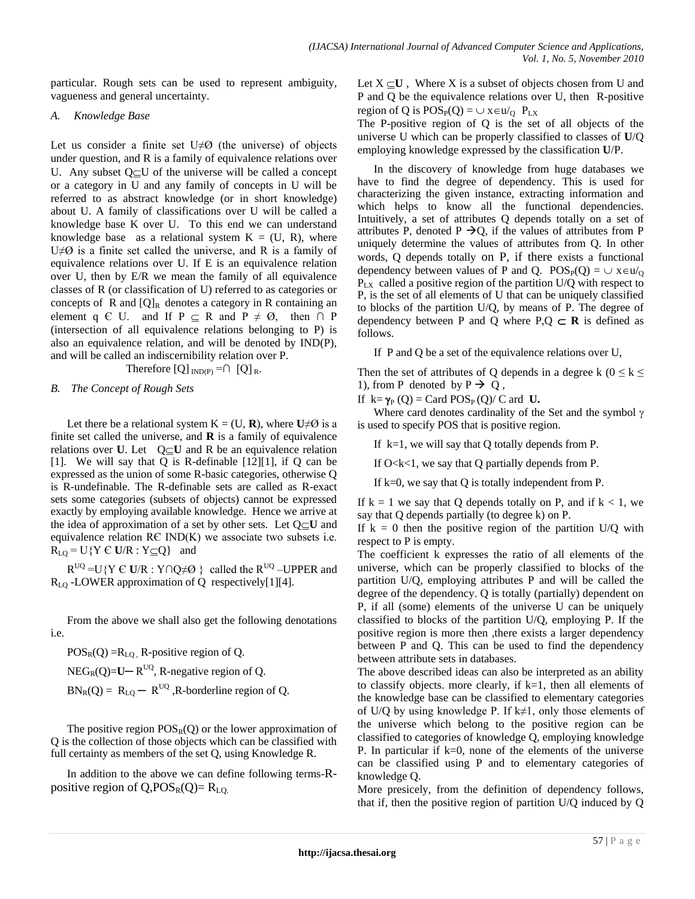particular. Rough sets can be used to represent [ambiguity,](http://en.wikipedia.org/wiki/Ambiguity) [vagueness](http://en.wikipedia.org/wiki/Vagueness) and general [uncertainty.](http://en.wikipedia.org/wiki/Uncertainty)

#### *A. Knowledge Base*

Let us consider a finite set  $U\neq\emptyset$  (the universe) of objects under question, and R is a family of equivalence relations over U. Any subset  $Q \subseteq U$  of the universe will be called a concept or a category in U and any family of concepts in U will be referred to as abstract knowledge (or in short knowledge) about U. A family of classifications over U will be called a knowledge base K over U. To this end we can understand knowledge base as a relational system  $K = (U, R)$ , where  $U\neq\emptyset$  is a finite set called the universe, and R is a family of equivalence relations over U. If E is an equivalence relation over U, then by E/R we mean the family of all equivalence classes of R (or classification of U) referred to as categories or concepts of R and  $[Q]_R$  denotes a category in R containing an element q  $\in$  U. and If  $P \subseteq R$  and  $P \neq \emptyset$ , then  $\cap$  P (intersection of all equivalence relations belonging to P) is also an equivalence relation, and will be denoted by IND(P), and will be called an indiscernibility relation over P.

Therefore  $[Q]_{IND(P)} = \cap [Q]_R$ .

# *B. The Concept of Rough Sets*

Let there be a relational system  $K = (U, R)$ , where  $U \neq \emptyset$  is a finite set called the universe, and **R** is a family of equivalence relations over **U**. Let  $Q \subset U$  and R be an equivalence relation [1]. We will say that Q is R-definable  $[12][1]$ , if Q can be expressed as the union of some R-basic categories, otherwise Q is R-undefinable. The R-definable sets are called as R-exact sets some categories (subsets of objects) cannot be expressed exactly by employing available knowledge. Hence we arrive at the idea of approximation of a set by other sets. Let  $Q \subseteq U$  and equivalence relation RЄ IND(K) we associate two subsets i.e.  $R_{LQ} = U\{Y \in U/R : Y \subseteq Q\}$  and

 $R^{UQ} = U \{ Y \in U/R : Y \cap Q \neq \emptyset \}$  called the  $R^{UQ}$  – UPPER and  $R_{LO}$  -LOWER approximation of Q respectively[1][4].

From the above we shall also get the following denotations i.e.

 $POS<sub>R</sub>(Q)$  =  $R<sub>LQ</sub>$ , R-positive region of Q.

 $NEG_{R}(Q)=U-R^{UQ}, R-negative region of Q.$ 

 $BN_R(Q) = R_{LO} - R^{UQ}$ , R-borderline region of Q.

The positive region  $POS_R(Q)$  or the lower approximation of Q is the collection of those objects which can be classified with full certainty as members of the set Q, using Knowledge R.

In addition to the above we can define following terms-Rpositive region of  $Q, POS_R(Q)=R_{LO}$ .

Let  $X \subseteq U$ , Where X is a subset of objects chosen from U and P and Q be the equivalence relations over U, then R-positive region of Q is  $POS_P(Q) = \bigcup x \in u /_Q P_{LX}$ 

The P-positive region of Q is the set of all objects of the universe U which can be properly classified to classes of **U**/Q employing knowledge expressed by the classification **U**/P.

In the discovery of knowledge from huge databases we have to find the degree of dependency. This is used for characterizing the given instance, extracting information and which helps to know all the functional dependencies. Intuitively, a set of attributes Q depends totally on a set of attributes P, denoted P  $\rightarrow Q$ , if the values of attributes from P uniquely determine the values of attributes from Q. In other words, Q depends totally on P, if there exists a functional dependency between values of P and O.  $POS_{P}(O) = \cup x \in u/\Omega$ PLX called a positive region of the partition U/Q with respect to P, is the set of all elements of U that can be uniquely classified to blocks of the partition U/Q, by means of P. The degree of dependency between P and Q where  $P,Q \subset \mathbb{R}$  is defined as follows.

If P and Q be a set of the equivalence relations over U,

Then the set of attributes of Q depends in a degree k ( $0 \le k \le$ 1), from P denoted by  $P \rightarrow Q$ ,

If  $k = \gamma_P(Q) = \text{Card } POS_P(Q)/C$  ard **U.** 

Where card denotes cardinality of the Set and the symbol  $\gamma$ is used to specify POS that is positive region.

If  $k=1$ , we will say that Q totally depends from P.

If  $O < k < 1$ , we say that Q partially depends from P.

If k=0, we say that Q is totally independent from P.

If  $k = 1$  we say that O depends totally on P, and if  $k < 1$ , we say that Q depends partially (to degree k) on P.

If  $k = 0$  then the positive region of the partition U/Q with respect to P is empty.

The coefficient k expresses the ratio of all elements of the universe, which can be properly classified to blocks of the partition U/Q, employing attributes P and will be called the degree of the dependency. Q is totally (partially) dependent on P, if all (some) elements of the universe U can be uniquely classified to blocks of the partition U/Q, employing P. If the positive region is more then ,there exists a larger dependency between P and Q. This can be used to find the dependency between attribute sets in databases.

The above described ideas can also be interpreted as an ability to classify objects. more clearly, if k=1, then all elements of the knowledge base can be classified to elementary categories of U/Q by using knowledge P. If k≠1, only those elements of the universe which belong to the positive region can be classified to categories of knowledge Q, employing knowledge P. In particular if  $k=0$ , none of the elements of the universe can be classified using P and to elementary categories of knowledge Q.

More presicely, from the definition of dependency follows, that if, then the positive region of partition U/Q induced by Q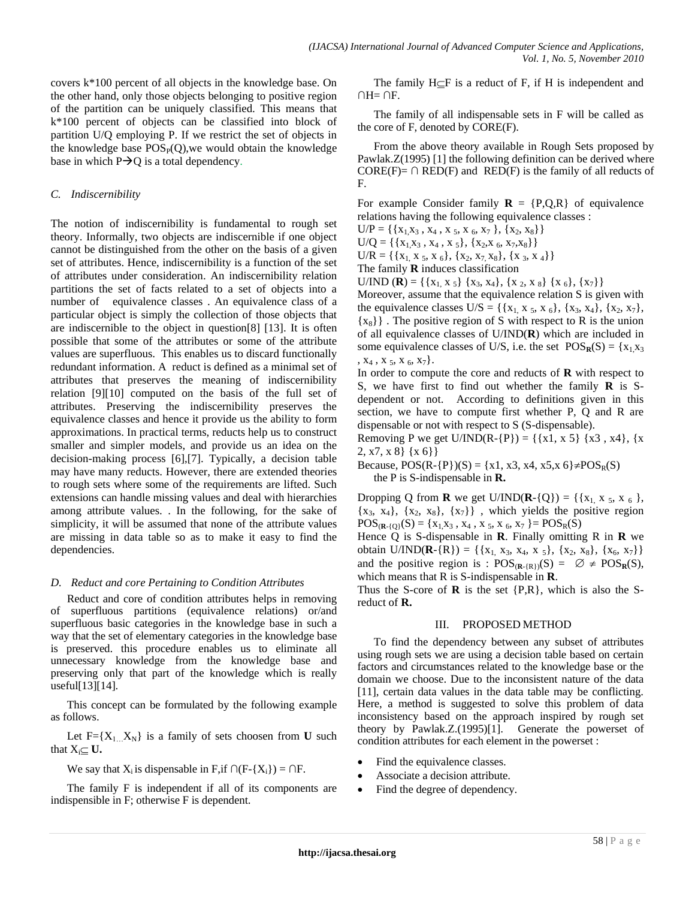covers k\*100 percent of all objects in the knowledge base. On the other hand, only those objects belonging to positive region of the partition can be uniquely classified. This means that k\*100 percent of objects can be classified into block of partition U/Q employing P. If we restrict the set of objects in the knowledge base  $POS_{P}(Q)$ , we would obtain the knowledge base in which  $P\rightarrow Q$  is a total dependency.

# *C. Indiscernibility*

The notion of indiscernibility is fundamental to rough set theory. Informally, two objects are indiscernible if one object cannot be distinguished from the other on the basis of a given set of attributes. Hence, indiscernibility is a function of the set of attributes under consideration. An indiscernibility relation partitions the set of facts related to a set of objects into a number of equivalence classes . An equivalence class of a particular object is simply the collection of those objects that are indiscernible to the object in question[8] [13]. It is often possible that some of the attributes or some of the attribute values are superfluous. This enables us to discard functionally redundant information. A reduct is defined as a minimal set of attributes that preserves the meaning of indiscernibility relation [9][10] computed on the basis of the full set of attributes. Preserving the indiscernibility preserves the equivalence classes and hence it provide us the ability to form approximations. In practical terms, reducts help us to construct smaller and simpler models, and provide us an idea on the decision-making process [6],[7]. Typically, a decision table may have many reducts. However, there are extended theories to rough sets where some of the requirements are lifted. Such extensions can handle missing values and deal with hierarchies among attribute values. . In the following, for the sake of simplicity, it will be assumed that none of the attribute values are missing in data table so as to make it easy to find the dependencies.

#### *D. Reduct and core Pertaining to Condition Attributes*

Reduct and core of condition attributes helps in removing of superfluous partitions (equivalence relations) or/and superfluous basic categories in the knowledge base in such a way that the set of elementary categories in the knowledge base is preserved. this procedure enables us to eliminate all unnecessary knowledge from the knowledge base and preserving only that part of the knowledge which is really useful[13][14].

This concept can be formulated by the following example as follows.

Let  $F = \{X_1, X_N\}$  is a family of sets choosen from **U** such that  $X_i \subseteq U$ .

We say that  $X_i$  is dispensable in F,if  $\bigcap (F-\{X_i\}) = \bigcap F$ .

The family F is independent if all of its components are indispensible in F; otherwise F is dependent.

The family  $H \subset F$  is a reduct of F, if H is independent and  $\cap H = \cap F$ .

The family of all indispensable sets in F will be called as the core of F, denoted by CORE(F).

From the above theory available in Rough Sets proposed by Pawlak.Z(1995) [1] the following definition can be derived where  $CORE(F) = \bigcap RED(F)$  and  $RED(F)$  is the family of all reducts of F.

For example Consider family  $\mathbf{R} = \{P, Q, R\}$  of equivalence relations having the following equivalence classes :

 $U/P = \{\{x_1, x_3, x_4, x_5, x_6, x_7\}, \{x_2, x_8\}\}\$ 

 $U/Q = \{\{x_1, x_3, x_4, x_5\}, \{x_2, x_6, x_7, x_8\}\}\$ 

 $U/R = \{\{x_1, x_5, x_6\}, \{x_2, x_7, x_8\}, \{x_3, x_4\}\}\$ 

The family **R** induces classification

U/IND (**R**) = {{ $x_1, x_5$ } { $x_3, x_4$ }, { $x_2, x_8$ } { $x_6$ }, { $x_7$ }}

Moreover, assume that the equivalence relation S is given with the equivalence classes U/S = { $\{x_1, x_5, x_6\}$ ,  $\{x_3, x_4\}$ ,  $\{x_2, x_7\}$ ,  $\{x_8\}\}\.$  The positive region of S with respect to R is the union of all equivalence classes of U/IND(**R**) which are included in some equivalence classes of U/S, i.e. the set  $POS_R(S) = \{x_1x_3\}$  $, X_4, X_5, X_6, X_7\}.$ 

In order to compute the core and reducts of **R** with respect to S, we have first to find out whether the family **R** is Sdependent or not. According to definitions given in this section, we have to compute first whether P, Q and R are dispensable or not with respect to S (S-dispensable).

Removing P we get U/IND(R-{P}) = {{x1, x 5} {x3, x4}, {x} 2, x7, x 8} {x 6}}

Because,  $POS(R - {P})(S) = {x1, x3, x4, x5, x6} \neq POS<sub>R</sub>(S)$ the P is S-indispensable in **R.**

Dropping Q from **R** we get U/IND(**R**-{Q}) = {{ $x_1, x_5, x_6$ },  $\{x_3, x_4\}, \{x_2, x_8\}, \{x_7\}\}\$ , which yields the positive region  $POS_{(R-\{Q\}}(S) = \{x_1, x_3, x_4, x_5, x_6, x_7\} = POS_{R}(S)$ 

Hence Q is S-dispensable in **R**. Finally omitting R in **R** we obtain U/IND( $\mathbf{R}$ -{R}) = {{x<sub>1,</sub> x<sub>3</sub>, x<sub>4</sub>, x <sub>5</sub>}, {x<sub>2</sub>, x<sub>8</sub>}, {x<sub>6</sub>, x<sub>7</sub>}} and the positive region is :  $POS_{(\mathbf{R}-(\mathbf{R}))}(S) = \emptyset \neq POS_{\mathbf{R}}(S)$ , which means that R is S-indispensable in **R**.

Thus the S-core of **R** is the set {P,R}, which is also the Sreduct of **R.**

#### III. PROPOSED METHOD

To find the dependency between any subset of attributes using rough sets we are using a decision table based on certain factors and circumstances related to the knowledge base or the domain we choose. Due to the inconsistent nature of the data [11], certain data values in the data table may be conflicting. Here, a method is suggested to solve this problem of data inconsistency based on the approach inspired by rough set theory by Pawlak.Z.(1995)[1]. Generate the powerset of condition attributes for each element in the powerset :

- Find the equivalence classes.
- Associate a decision attribute.
- Find the degree of dependency.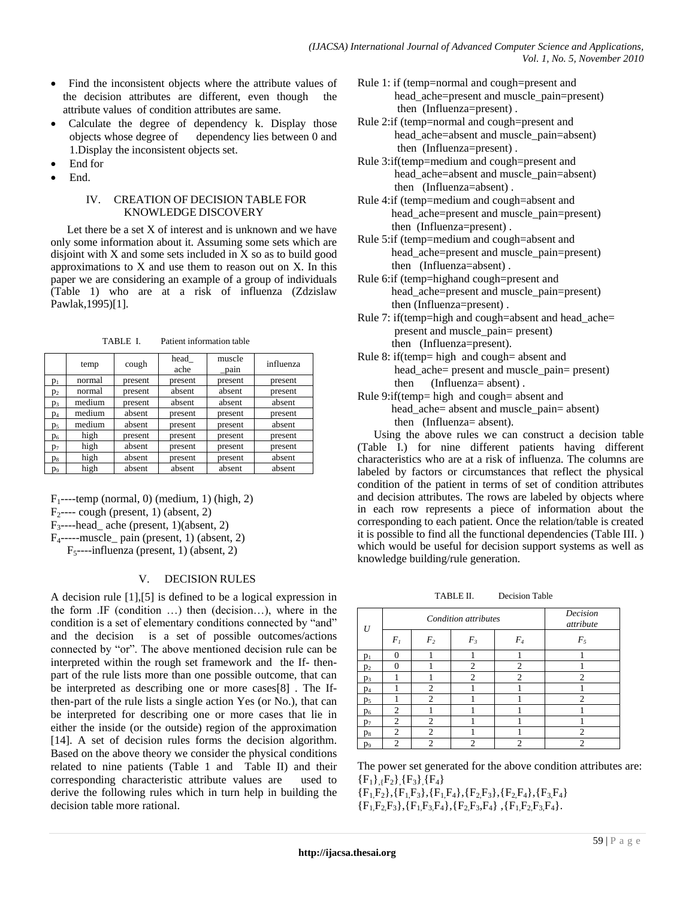- Find the inconsistent objects where the attribute values of the decision attributes are different, even though the attribute values of condition attributes are same.
- Calculate the degree of dependency k. Display those objects whose degree of dependency lies between 0 and 1.Display the inconsistent objects set.
- End for
- End.

#### IV. CREATION OF DECISION TABLE FOR KNOWLEDGE DISCOVERY

Let there be a set X of interest and is unknown and we have only some information about it. Assuming some sets which are disjoint with  $X$  and some sets included in  $X$  so as to build good approximations to  $X$  and use them to reason out on  $X$ . In this paper we are considering an example of a group of individuals (Table 1) who are at a risk of influenza (Zdzislaw Pawlak,1995)[1].

TABLE I. Patient information table

|                | temp   | cough   | head<br>ache | muscle<br>$\_pain$ | influenza |
|----------------|--------|---------|--------------|--------------------|-----------|
| $p_1$          | normal | present | present      | present            | present   |
| p <sub>2</sub> | normal | present | absent       | absent             | present   |
| $p_3$          | medium | present | absent       | absent             | absent    |
| $p_4$          | medium | absent  | present      | present            | present   |
| p <sub>5</sub> | medium | absent  | present      | present            | absent    |
| $p_6$          | high   | present | present      | present            | present   |
| $p_7$          | high   | absent  | present      | present            | present   |
| $p_8$          | high   | absent  | present      | present            | absent    |
| p <sub>9</sub> | high   | absent  | absent       | absent             | absent    |

 $F_1$ ----temp (normal, 0) (medium, 1) (high, 2)

 $F_2$ ---- cough (present, 1) (absent, 2)

F3----head\_ ache (present, 1)(absent, 2)

F4-----muscle\_ pain (present, 1) (absent, 2)

 $F_{5}$ ----influenza (present, 1) (absent, 2)

# V. DECISION RULES

A decision rule [1],[5] is defined to be a logical expression in the form .IF (condition …) then (decision…), where in the condition is a set of elementary conditions connected by "and" and the decision is a set of possible outcomes/actions connected by "or". The above mentioned decision rule can be interpreted within the rough set framework and the If- thenpart of the rule lists more than one possible outcome, that can be interpreted as describing one or more cases[8] . The Ifthen-part of the rule lists a single action Yes (or No.), that can be interpreted for describing one or more cases that lie in either the inside (or the outside) region of the approximation [14]. A set of decision rules forms the decision algorithm. Based on the above theory we consider the physical conditions related to nine patients (Table 1 and Table II) and their corresponding characteristic attribute values are used to derive the following rules which in turn help in building the decision table more rational.

- Rule 1: if (temp=normal and cough=present and head ache=present and muscle pain=present) then (Influenza=present) .
- Rule 2:if (temp=normal and cough=present and head ache=absent and muscle pain=absent) then (Influenza=present) .
- Rule 3:if(temp=medium and cough=present and head ache=absent and muscle pain=absent) then (Influenza=absent) .
- Rule 4:if (temp=medium and cough=absent and head ache=present and muscle pain=present) then (Influenza=present) .
- Rule 5:if (temp=medium and cough=absent and head ache=present and muscle pain=present) then (Influenza=absent) .
- Rule 6:if (temp=highand cough=present and head\_ache=present and muscle\_pain=present) then (Influenza=present) .
- Rule 7: if(temp=high and cough=absent and head\_ache= present and muscle\_pain= present) then (Influenza=present).
- Rule 8: if(temp= high and cough= absent and head ache = present and muscle pain = present) then (Influenza= absent) .
- Rule 9:if(temp= high and cough= absent and head ache= absent and muscle pain= absent) then (Influenza= absent).

Using the above rules we can construct a decision table (Table I.) for nine different patients having different characteristics who are at a risk of influenza. The columns are labeled by factors or circumstances that reflect the physical condition of the patient in terms of set of condition attributes and decision attributes. The rows are labeled by objects where in each row represents a piece of information about the corresponding to each patient. Once the relation/table is created it is possible to find all the functional dependencies (Table III. ) which would be useful for decision support systems as well as knowledge building/rule generation.

TABLE II. Decision Table

| U              | <b>Condition</b> attributes |                |                             |                | Decision<br>attribute |  |
|----------------|-----------------------------|----------------|-----------------------------|----------------|-----------------------|--|
|                | $F_I$                       | F <sub>2</sub> | $F_3$                       | $F_{4}$        | $F_5$                 |  |
| $p_1$          | ∩                           |                |                             |                |                       |  |
| $p_2$          | 0                           |                | $\overline{c}$              | 2              |                       |  |
| p <sub>3</sub> |                             |                | 2                           | $\overline{c}$ | $\overline{c}$        |  |
| $p_4$          |                             | 2              |                             |                |                       |  |
| p <sub>5</sub> |                             | 2              |                             |                | $\overline{c}$        |  |
| p <sub>6</sub> | $\overline{c}$              |                |                             |                |                       |  |
| $p_7$          | $\overline{c}$              | 2              |                             |                |                       |  |
| $p_8$          | $\overline{c}$              | $\overline{c}$ |                             |                | $\overline{c}$        |  |
| p <sub>9</sub> | $\overline{c}$              | $\overline{c}$ | $\mathcal{D}_{\mathcal{L}}$ | $\overline{c}$ | $\overline{c}$        |  |

The power set generated for the above condition attributes are:  ${F_1}, {F_2}, {F_3}, {F_4}$ 

 ${F_1,F_2}, {F_1,F_3}, {F_1,F_4}, {F_2,F_3}, {F_2,F_4}, {F_3,F_4}$  ${F_1F_2F_3}, {F_1F_3F_4}, {F_2F_3F_4}, {F_1F_2F_3F_4}.$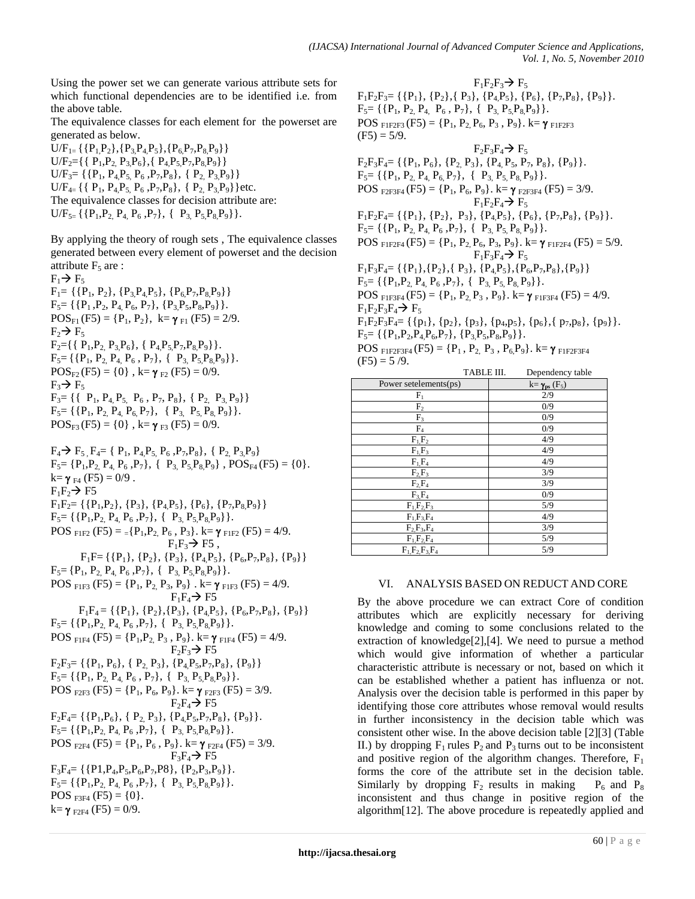Using the power set we can generate various attribute sets for which functional dependencies are to be identified i.e. from the above table.

The equivalence classes for each element for the powerset are generated as below.

 $U/F_{1}={ \P{P_1,P_2}, {P_3,P_4,P_5}, {P_6,P_7,P_8,P_9}\}$  $U/F_2 = {\{P_1, P_2, P_3, P_6\}, \{P_4, P_5, P_7, P_8, P_9\}}$  $U/F_3 = \{ {P_1, P_4, P_5, P_6, P_7, P_8}, {P_2, P_3, P_9} \}$  $U/F_{4}$  { {  $P_1$ ,  $P_4P_5$ ,  $P_6$ ,  $P_7P_8$ }, {  $P_2$ ,  $P_3P_9$ } }etc. The equivalence classes for decision attribute are:  $U/F_{5}={ \{P_1,P_2,P_4,P_6,P_7\}, \{P_3,P_5P_8P_9\}.}$ 

By applying the theory of rough sets , The equivalence classes generated between every element of powerset and the decision attribute  $F_5$  are :

 $F_1 \rightarrow F_5$  $F_1 = \{ {P_1, P_2}, {P_3, P_4, P_5}, {P_6, P_7, P_8, P_9} \}$  $F_5$ = {{P<sub>1</sub>, P<sub>2</sub>, P<sub>4</sub>, P<sub>6</sub>, P<sub>7</sub>}, {P<sub>3</sub>, P<sub>5</sub>, P<sub>8</sub>, P<sub>9</sub>}}.  $POS_{F1}(F5) = {P_1, P_2}, k = \gamma_{F1}(F5) = 2/9.$  $F_2 \rightarrow F_5$  $F_2 = \{ { \{ P_1, P_2, P_3, P_6 \}, \{ P_4, P_5, P_7, P_8, P_9 \} }$ .  $F_5 = {\{P_1, P_2, P_4, P_6, P_7\}, \{P_3, P_5, P_8, P_9\}}.$  $POS_{F2}(F5) = \{0\}$ ,  $k = \gamma_{F2}(F5) = 0/9$ .  $F_3 \rightarrow F_5$  $F_3 = \{ { \{ P_1, P_4, P_5, P_6, P_7, P_8 \}, { P_2, P_3, P_9 \} }$  $F_5$  = {{P<sub>1</sub>, P<sub>2</sub>, P<sub>4</sub>, P<sub>6</sub>, P<sub>7</sub>}, { P<sub>3,</sub> P<sub>5</sub>, P<sub>8</sub>, P<sub>9</sub>}}.  $POS_{F3}(F5) = \{0\}$ , k= $\gamma_{F3}(F5) = 0/9$ .  $F_4 \rightarrow F_5$ ,  $F_4 = \{ P_1, P_4, P_5, P_6, P_7, P_8 \}, \{ P_2, P_3, P_9 \}$  $F_5 = {P_1, P_2, P_4, P_6, P_7}, {P_3, P_5, P_8, P_9}, POS_{F4}(F5) = {0}.$  $k = \gamma_{F4} (F5) = 0/9$ .  $F_1F_2 \rightarrow F5$  $F_1F_2 = \{\{P_1, P_2\}, \{P_3\}, \{P_4, P_5\}, \{P_6\}, \{P_7, P_8, P_9\}\}\$  $F_5 = \{ \{P_1, P_2, P_4, P_6, P_7\}, \{ P_3, P_5, P_8, P_9\} \}.$ POS  $_{\text{FIF2}}$  (F5) =  $_{\text{=}}$ {P<sub>1</sub>,P<sub>2</sub>, P<sub>6</sub>, P<sub>3</sub>}. k=  $\gamma$ <sub>F1F2</sub> (F5) = 4/9.

 $F_1F_3 \rightarrow F5$ ,  $F_1F=\{\{P_1\}, \{P_2\}, \{P_3\}, \{P_4P_5\}, \{P_6, P_7, P_8\}, \{P_9\}\}\$  $F_5 = \{P_1, P_2, P_4, P_6, P_7\}, \{P_3, P_5, P_8, P_9\}.$ POS  $_{\text{F1F3}}$  (F5) = {P<sub>1</sub>, P<sub>2</sub>, P<sub>3</sub>, P<sub>9</sub>}, k=  $\gamma$ <sub>F1F3</sub> (F5) = 4/9.  $F_1F_4 \rightarrow F5$  $F_1F_4 = \{ {P_1}, {P_2}, {P_3}, {P_4P_5}, {P_6, P_7, P_8}, {P_9} \}$  $F_5$  = {{P<sub>1</sub>, P<sub>2</sub>, P<sub>4</sub>, P<sub>6</sub>, P<sub>7</sub>}, { P<sub>3</sub>, P<sub>5</sub>, P<sub>8</sub>, P<sub>9</sub>}}. POS  $_{\text{FIF4}}$  (F5) = {P<sub>1</sub>, P<sub>2</sub>, P<sub>3</sub>, P<sub>9</sub>}. k=  $\gamma$ <sub>F1F4</sub> (F5) = 4/9.  $F_2F_3 \rightarrow F5$  $F_2F_3 = \{\{P_1, P_6\}, \{P_2, P_3\}, \{P_4P_5, P_7, P_8\}, \{P_9\}\}\$  $F_5 = \{ \{P_1, P_2, P_4, P_6, P_7\}, \{ P_3, P_5, P_8, P_9\} \}.$ POS  $_{F2F3}$  (F5) = {P<sub>1</sub>, P<sub>6</sub>, P<sub>9</sub>}. k=  $\gamma$   $_{F2F3}$  (F5) = 3/9.  $F_2F_4 \rightarrow F5$  $F_2F_4 = \{ {P_1, P_6}, {P_2, P_3}, {P_4, P_5, P_7, P_8}, {P_9}.\}$  $F_5$  = {{P<sub>1</sub>, P<sub>2</sub>, P<sub>4</sub>, P<sub>6</sub>, P<sub>7</sub>}, { P<sub>3</sub>, P<sub>5</sub>, P<sub>8</sub>, P<sub>9</sub>}}. POS  $_{F2F4}$  (F5) = {P<sub>1</sub>, P<sub>6</sub>, P<sub>9</sub>}. k=  $\gamma$ <sub>F2F4</sub> (F5) = 3/9.  $F_3F_4 \rightarrow F5$  $F_3F_4=\{\{P1,P_4,P_5,P_6,P_7,P_8\},\{P_2,P_3,P_9\}\}.$  $F_5 = \{ {P_1, P_2, P_4, P_6, P_7}, {P_3, P_5, P_8, P_9} \}.$ POS  $_{F3F4}$  (F5) = {0}.  $k = \gamma_{F2F4} (F5) = 0/9.$ 

 $F_1F_2F_3 \rightarrow F_5$  $F_1F_2F_3 = {\{P_1\}, \{P_2\}, \{P_3\}, \{P_4P_5\}, \{P_6\}, \{P_7P_8\}, \{P_9\}}.$  $F_5 = \{ \{P_1, P_2, P_4, P_6, P_7\}, \{ P_3, P_5, P_8, P_9\} \}.$ POS  $_{\text{F1F2F3}}$  (F5) = {P<sub>1</sub>, P<sub>2</sub>, P<sub>6</sub>, P<sub>3</sub>, P<sub>9</sub>}. k=  $\gamma$   $_{\text{F1F2F3}}$  $(F5) = 5/9.$  $F_2F_3F_4 \rightarrow F_5$  $F_2F_3F_4 = \{\{P_1, P_6\}, \{P_2, P_3\}, \{P_4, P_5, P_7, P_8\}, \{P_9\}\}.$  $F_5$  = {{P<sub>1</sub>, P<sub>2</sub>, P<sub>4</sub>, P<sub>6</sub>, P<sub>7</sub>}, { P<sub>3</sub>, P<sub>5</sub>, P<sub>8</sub>, P<sub>9</sub>}}. POS  $_{E2E3F4}$  (F5) = {P<sub>1</sub>, P<sub>6</sub>, P<sub>9</sub>}. k=  $\gamma_{E2F3F4}$  (F5) = 3/9.  $F_1F_2F_4 \rightarrow F_5$  $F_1F_2F_4 = {\{P_1\}, \{P_2\}, P_3\}, \{P_4P_5\}, \{P_6\}, \{P_7, P_8\}, \{P_9\}.$  $F_5 = \{ \{P_1, P_2, P_4, P_6, P_7\}, \{ P_3, P_5, P_8, P_9\} \}.$ POS  $_{\text{F1F2F4}}$  (F5) = {P<sub>1</sub>, P<sub>2</sub>, P<sub>6</sub>, P<sub>3</sub>, P<sub>9</sub>}. k=  $\gamma$   $_{\text{F1F2F4}}$  (F5) = 5/9.  $F_1F_3F_4 \rightarrow F_5$  $F_1F_3F_4 = \{\{P_1\}, \{P_2\}, \{P_3\}, \{P_4P_5\}, \{P_6, P_7, P_8\}, \{P_9\}\}\$  $F_5 = \{ \{P_1, P_2, P_4, P_6, P_7\}, \{ P_3, P_5, P_8, P_9\} \}.$ POS  $F1F3F4$  (F5) = {P<sub>1</sub>, P<sub>2</sub>, P<sub>3</sub>, P<sub>9</sub>}. k=  $\gamma$ <sub>F1F3F4</sub> (F5) = 4/9.  $F_1F_2F_3F_4 \rightarrow F_5$  $F_1F_2F_3F_4 = {\{p_1\}, \{p_2\}, \{p_3\}, \{p_4,p_5\}, \{p_6\}, \{p_7,p_8\}, \{p_9\}}.$  $F_5$ = {{P<sub>1</sub>,P<sub>2</sub>,P<sub>4</sub>,P<sub>6</sub>,P<sub>7</sub>}, {P<sub>3</sub>,P<sub>5</sub>,P<sub>8</sub>,P<sub>9</sub>}}. POS  $F1F2F3F4$  (F5) = {P<sub>1</sub>, P<sub>2,</sub> P<sub>3</sub>, P<sub>6</sub>, P<sub>9</sub>}. k= $\gamma$ <sub>F1F2F3F4</sub>  $(F5) = 5/9.$ TABLE III. Dependency table

|                       | TABLE III. | Dependency table                    |
|-----------------------|------------|-------------------------------------|
| Power setelements(ps) |            | $k = \gamma_{ps}$ (F <sub>5</sub> ) |
| $F_1$                 |            | 2/9                                 |
| F <sub>2</sub>        |            | 0/9                                 |
| $F_3$                 |            | 0/9                                 |
| F <sub>4</sub>        |            | 0/9                                 |
| $F_1, F_2$            |            | 4/9                                 |
| $F_1F_3$              |            | 4/9                                 |
| $F_1F_4$              |            | 4/9                                 |
| $F_2F_3$              |            | 3/9                                 |
| $F_2F_4$              |            | 3/9                                 |
| $F_3F_4$              |            | 0/9                                 |
| $F_1F_2F_3$           |            | 5/9                                 |
| $F_1.F_3.F_4$         |            | 4/9                                 |
| $F_2, F_3, F_4$       |            | 3/9                                 |
| $F_1, F_2, F_4$       |            | 5/9                                 |
| $F_1F_2F_3F_4$        |            | 5/9                                 |

# VI. ANALYSIS BASED ON REDUCT AND CORE

By the above procedure we can extract Core of condition attributes which are explicitly necessary for deriving knowledge and coming to some conclusions related to the extraction of knowledge[2],[4]. We need to pursue a method which would give information of whether a particular characteristic attribute is necessary or not, based on which it can be established whether a patient has influenza or not. Analysis over the decision table is performed in this paper by identifying those core attributes whose removal would results in further inconsistency in the decision table which was consistent other wise. In the above decision table [2][3] (Table II.) by dropping  $F_1$  rules  $P_2$  and  $P_3$  turns out to be inconsistent and positive region of the algorithm changes. Therefore,  $F_1$ forms the core of the attribute set in the decision table. Similarly by dropping  $F_2$  results in making  $P_6$  and  $P_8$ inconsistent and thus change in positive region of the algorithm[12]. The above procedure is repeatedly applied and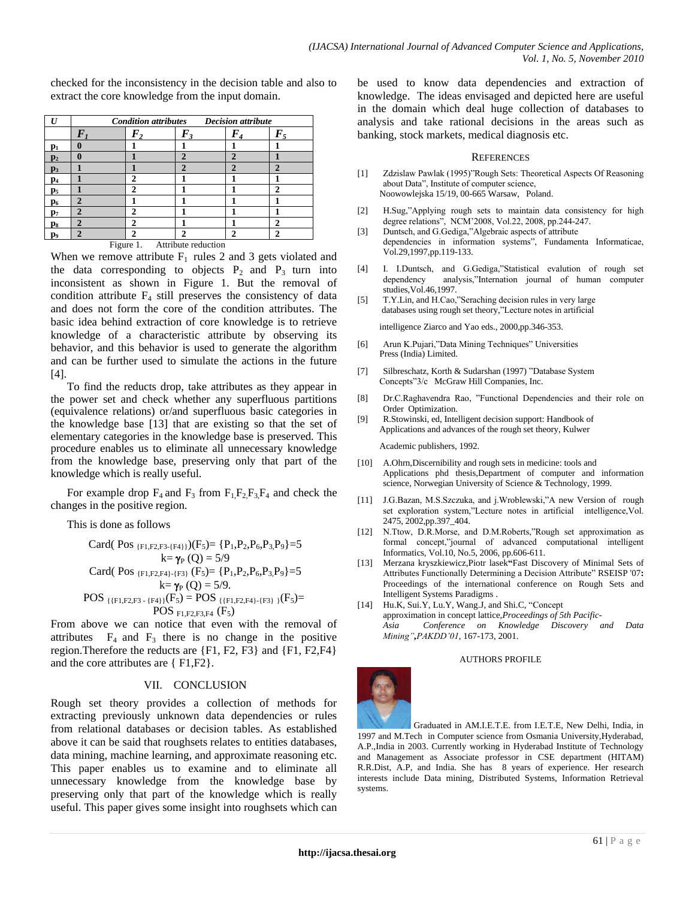checked for the inconsistency in the decision table and also to extract the core knowledge from the input domain.

| $\mathbf{I}$   | <b>Decision attribute</b><br><b>Condition attributes</b> |                         |                |     |              |  |
|----------------|----------------------------------------------------------|-------------------------|----------------|-----|--------------|--|
|                | $\bm{F}_{i}$                                             |                         | F,             | F's | $\bm{F}_{5}$ |  |
| $\mathbf{p}_1$ |                                                          |                         |                |     |              |  |
| $\mathbf{p}_2$ |                                                          |                         | $\mathbf 2$    | 2   |              |  |
| p <sub>3</sub> |                                                          |                         | $\overline{2}$ | 2   | 2            |  |
| $\mathbf{p}_4$ |                                                          | $\mathbf{2}$            |                |     |              |  |
| p <sub>5</sub> |                                                          | າ                       |                |     |              |  |
| $\mathbf{p}_6$ | n                                                        |                         |                |     |              |  |
| $\mathbf{p}_7$ |                                                          | 2                       |                |     |              |  |
| $\mathbf{p}_8$ | ി                                                        | $\overline{\mathbf{2}}$ |                |     | n            |  |
| P9             | $\mathcal{D}$                                            | 2                       | 2              | 2   |              |  |

Figure 1. Attribute reduction

When we remove attribute  $F_1$  rules 2 and 3 gets violated and the data corresponding to objects  $P_2$  and  $P_3$  turn into inconsistent as shown in Figure 1. But the removal of condition attribute  $F_4$  still preserves the consistency of data and does not form the core of the condition attributes. The basic idea behind extraction of core knowledge is to retrieve knowledge of a characteristic attribute by observing its behavior, and this behavior is used to generate the algorithm and can be further used to simulate the actions in the future [4].

To find the reducts drop, take attributes as they appear in the power set and check whether any superfluous partitions (equivalence relations) or/and superfluous basic categories in the knowledge base [13] that are existing so that the set of elementary categories in the knowledge base is preserved. This procedure enables us to eliminate all unnecessary knowledge from the knowledge base, preserving only that part of the knowledge which is really useful.

For example drop  $F_4$  and  $F_3$  from  $F_1F_2F_3F_4$  and check the changes in the positive region.

This is done as follows

Card(
$$
Pos_{[F1,F2,F3+[F4]})
$$
) $(F_5)$  = { $P_1, P_2, P_6, P_3, P_9$ }=5  
\nk=  $\gamma_P(Q)$  = 5/9  
Card( $Pos_{[F1,F2,F4]\text{-{F3}}}(F_5)$  = { $P_1, P_2, P_6, P_3, P_9$ }=5  
\nk=  $\gamma_P(Q)$  = 5/9.  
POS { $\{F1,F2,F3\text{-{F4}}\}(F_5)$  = POS { $\{F1,F2,F4\text{-{F3}}\}(F_5)$ =  
POS  $\gamma_P(S)$  =  $\gamma_S$ 

From above we can notice that even with the removal of attributes  $F_4$  and  $F_3$  there is no change in the positive region.Therefore the reducts are {F1, F2, F3} and {F1, F2,F4} and the core attributes are { F1,F2}.

#### VII. CONCLUSION

Rough set theory provides a collection of methods for extracting previously unknown data dependencies or rules from relational databases or decision tables. As established above it can be said that roughsets relates to entities databases, data mining, machine learning, and approximate reasoning etc. This paper enables us to examine and to eliminate all unnecessary knowledge from the knowledge base by preserving only that part of the knowledge which is really useful. This paper gives some insight into roughsets which can be used to know data dependencies and extraction of knowledge. The ideas envisaged and depicted here are useful in the domain which deal huge collection of databases to analysis and take rational decisions in the areas such as banking, stock markets, medical diagnosis etc.

#### **REFERENCES**

- [1] Zdzislaw Pawlak (1995)"Rough Sets: Theoretical Aspects Of Reasoning about Data", Institute of computer science, Noowowlejska 15/19, 00-665 Warsaw, Poland.
- [2] H.Sug,"Applying rough sets to maintain data consistency for high degree relations", NCM'2008, Vol.22, 2008, pp.244-247.
- [3] Duntsch, and G.Gediga,"Algebraic aspects of attribute dependencies in information systems", Fundamenta Informaticae, Vol.29,1997,pp.119-133.
- [4] I. I.Duntsch, and G.Gediga,"Statistical evalution of rough set dependency analysis,"Internation journal of human computer studies,Vol.46,1997.
- [5] T.Y.Lin, and H.Cao,"Seraching decision rules in very large databases using rough set theory,"Lecture notes in artificial

intelligence Ziarco and Yao eds., 2000,pp.346-353.

- [6] Arun K.Pujari,"Data Mining Techniques" Universities Press (India) Limited.
- [7] Silbreschatz, Korth & Sudarshan (1997) "Database System Concepts"3/c McGraw Hill Companies, Inc.
- [8] Dr.C.Raghavendra Rao, "Functional Dependencies and their role on Order Optimization.
- [9] R.Stowinski, ed, Intelligent decision support: Handbook of Applications and advances of the rough set theory, Kulwer

Academic publishers, 1992.

- [10] A.Ohrn,Discernibility and rough sets in medicine: tools and Applications phd thesis,Department of computer and information science, Norwegian University of Science & Technology, 1999.
- [11] J.G.Bazan, M.S.Szczuka, and j.Wroblewski,"A new Version of rough set exploration system,"Lecture notes in artificial intelligence,Vol. 2475, 2002,pp.397\_404.
- [12] N.Ttow, D.R.Morse, and D.M.Roberts,"Rough set approximation as formal concept,"journal of advanced computational intelligent Informatics, Vol.10, No.5, 2006, pp.606-611.
- [13] Merzana kryszkiewicz,Piotr lasek**"**Fast Discovery of Minimal Sets of Attributes Functionally Determining a Decision Attribute" RSEISP '07**:**  Proceedings of the international conference on Rough Sets and Intelligent Systems Paradigms .
- [14] Hu.K, Sui.Y, Lu.Y, Wang.J, and Shi.C, "Concept approximation in concept lattice,*Proceedings of 5th Pacific-Asia Conference on Knowledge Discovery and Data Mining",PAKDD'01*, 167-173, 2001.

#### AUTHORS PROFILE



Graduated in AM.I.E.T.E. from I.E.T.E, New Delhi, India, in 1997 and M.Tech in Computer science from Osmania University,Hyderabad, A.P.,India in 2003. Currently working in Hyderabad Institute of Technology and Management as Associate professor in CSE department (HITAM) R.R.Dist, A.P, and India. She has 8 years of experience. Her research interests include Data mining, Distributed Systems, Information Retrieval systems.